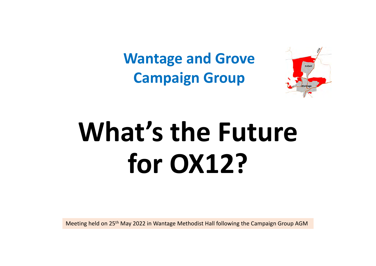**Wantage and Grove Campaign Group**



# **What's the Future for OX12?**

Meeting held on 25th May 2022 in Wantage Methodist Hall following the Campaign Group AGM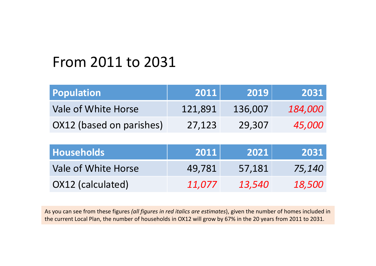#### From 2011 to 2031

| <b>Population</b>        | 2011    | 2019    | 2031           |
|--------------------------|---------|---------|----------------|
| Vale of White Horse      | 121,891 | 136,007 | <i>184.000</i> |
| OX12 (based on parishes) | 27.123  | 29,307  | <i>45,000</i>  |

| <b>Households</b>   | 2011   | 2021          | 2031                 |
|---------------------|--------|---------------|----------------------|
| Vale of White Horse | 49,781 | 57,181        | 75,140               |
| OX12 (calculated)   | 11.077 | <i>13,540</i> | <i><b>18,500</b></i> |

As you can see from these figures *(all figures in red italics are estimates*), given the number of homes included in the current Local Plan, the number of households in OX12 will grow by 67% in the 20 years from 2011 to 2031.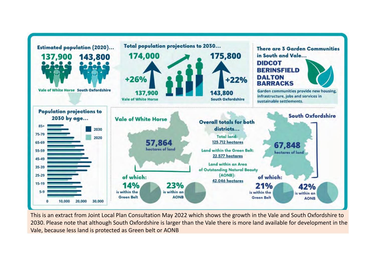

This is an extract from Joint Local Plan Consultation May 2022 which shows the growth in the Vale and South Oxfordshire to 2030. Please note that although South Oxfordshire is larger than the Vale there is more land available for development in the Vale, because less land is protected as Green belt or AONB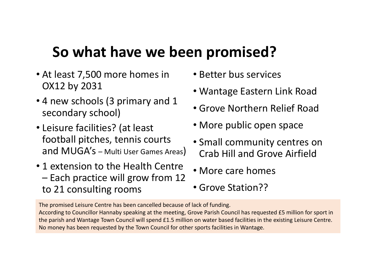#### **So what have we been promised?**

- At least 7,500 more homes in OX12 by 2031
- 4 new schools (3 primary and 1 secondary school)
- Leisure facilities? (at least football pitches, tennis courts and MUGA's – Multi User Games Areas)
- 1 extension to the Health Centre – Each practice will grow from 12 to 21 consulting rooms
- Better bus services
- Wantage Eastern Link Road
- Grove Northern Relief Road
- More public open space
- Small community centres on Crab Hill and Grove Airfield
- More care homes
- Grove Station??

The promised Leisure Centre has been cancelled because of lack of funding. According to Councillor Hannaby speaking at the meeting, Grove Parish Council has requested £5 million for sport in the parish and Wantage Town Council will spend £1.5 million on water based facilities in the existing Leisure Centre. No money has been requested by the Town Council for other sports facilities in Wantage.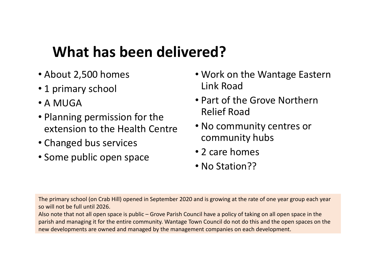#### **What has been delivered?**

- About 2,500 homes
- 1 primary school
- A MUGA
- Planning permission for the extension to the Health Centre
- Changed bus services
- Some public open space
- Work on the Wantage Eastern Link Road
- Part of the Grove Northern Relief Road
- No community centres or community hubs
- 2 care homes
- No Station??

The primary school (on Crab Hill) opened in September 2020 and is growing at the rate of one year group each year so will not be full until 2026.

Also note that not all open space is public – Grove Parish Council have a policy of taking on all open space in the parish and managing it for the entire community. Wantage Town Council do not do this and the open spaces on the new developments are owned and managed by the management companies on each development.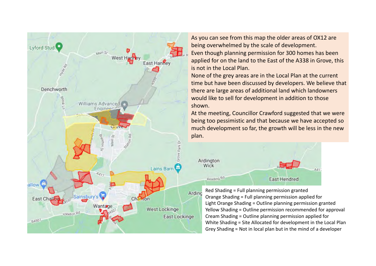

As you can see from this map the older areas of OX12 are being overwhelmed by the scale of development. Even though planning permission for 300 homes has been applied for on the land to the East of the A338 in Grove, this is not in the Local Plan.

None of the grey areas are in the Local Plan at the current time but have been discussed by developers. We believe that there are large areas of additional land which landowners would like to sell for development in addition to those shown.

At the meeting, Councillor Crawford suggested that we were being too pessimistic and that because we have accepted so much development so far, the growth will be less in the new plan.



Red Shading = Full planning permission granted Orange Shading = Full planning permission applied for Light Orange Shading = Outline planning permission granted Yellow Shading = Outline permission recommended for approval Cream Shading = Outline planning permission applied for White Shading = Site Allocated for development in the Local Pla n Grey Shading = Not in local plan but in the mind of a developer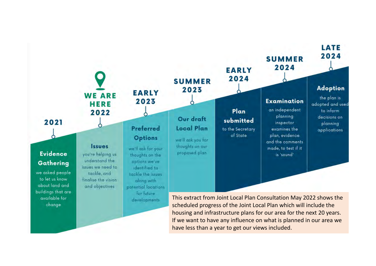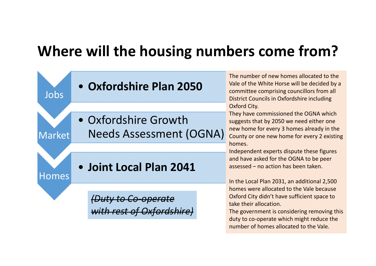#### **Where will the housing numbers come from?**

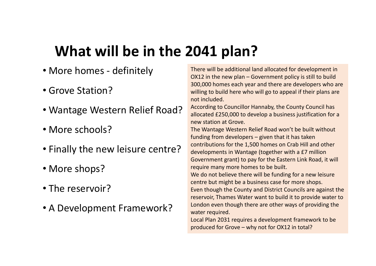### **What will be in the 2041 plan?**

- More homes ‐ definitely
- Grove Station?
- Wantage Western Relief Road?
- More schools?
- Finally the new leisure centre?
- More shops?
- The reservoir?
- A Development Framework?

There will be additional land allocated for development in OX12 in the new plan – Government policy is still to build 300,000 homes each year and there are developers who are willing to build here who will go to appeal if their plans are not included.

According to Councillor Hannaby, the County Council has allocated £250,000 to develop a business justification for a new station at Grove.

The Wantage Western Relief Road won't be built without funding from developers – given that it has taken contributions for the 1,500 homes on Crab Hill and other developments in Wantage (together with a £7 million Government grant) to pay for the Eastern Link Road, it will require many more homes to be built.

We do not believe there will be funding for a new leisure centre but might be a business case for more shops.

Even though the County and District Councils are against the reservoir, Thames Water want to build it to provide water to London even though there are other ways of providing the water required.

Local Plan 2031 requires a development framework to be produced for Grove – why not for OX12 in total?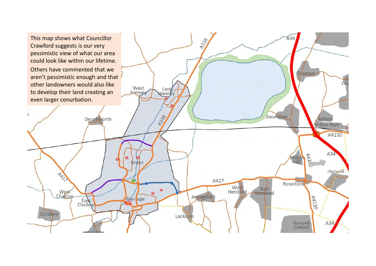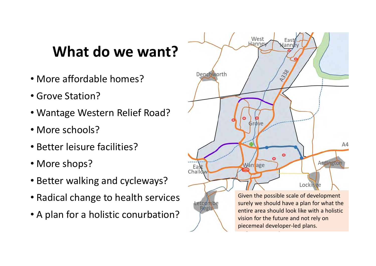#### **What do we want?**

- More affordable homes?
- Grove Station?
- Wantage Western Relief Road?
- More schools?
- Better leisure facilities?
- More shops?
- Better walking and cycleways?
- Radical change to health services
- A plan for a holistic conurbation?

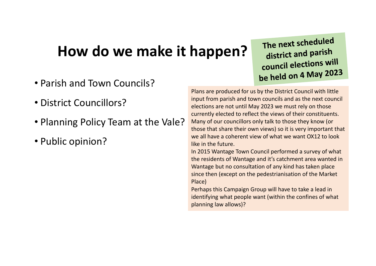#### **How do we make it happen?**

- Parish and Town Councils?
- District Councillors?
- Planning Policy Team at the Vale?
- Public opinion?

The next scheduled district and parish council elections will be held on 4 May 2023

Plans are produced for us by the District Council with little input from parish and town councils and as the next council elections are not until May 2023 we must rely on those currently elected to reflect the views of their constituents. Many of our councillors only talk to those they know (or those that share their own views) so it is very important that we all have a coherent view of what we want OX12 to look like in the future.

In 2015 Wantage Town Council performed a survey of what the residents of Wantage and it's catchment area wanted in Wantage but no consultation of any kind has taken place since then (except on the pedestrianisation of the Market Place)

Perhaps this Campaign Group will have to take a lead in identifying what people want (within the confines of what planning law allows)?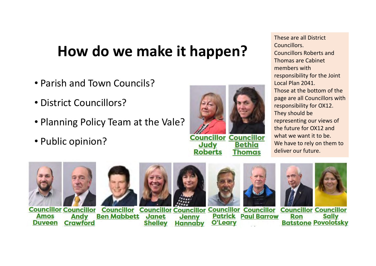#### **How do we make it happen?**

- Parish and Town Councils?
- District Councillors?
- Planning Policy Team at the Vale?
- Public opinion?



These are all District Councillors.Councillors Roberts and Thomas are Cabinet members with responsibility for the Joint Local Plan 2041.Those at the bottom of the page are all Councillors with responsibility for OX12. They should be representing our views of the future for OX12 and what we want it to be. We have to rely on them to deliver our future.













**Councillor Councillor Councillor Councillor Councillor Councillor Councillor Councillor Councillor Ben Mabbett Patrick Paul Barrow Amos Andy** Janet **Jenny** Ron **Sally O'Leary Batstone Povolotsky Duveen Crawford Shelley Hannaby**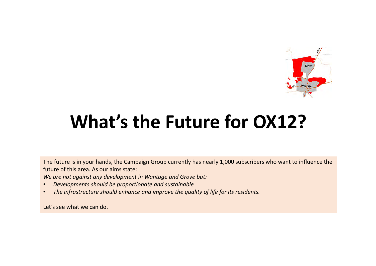

## **What's the Future for OX12?**

The future is in your hands, the Campaign Group currently has nearly 1,000 subscribers who want to influence the future of this area. As our aims state:

*We are not against any development in Wantage and Grove but:*

- •*Developments should be proportionate and sustainable*
- •*The infrastructure should enhance and improve the quality of life for its residents.*

Let's see what we can do.